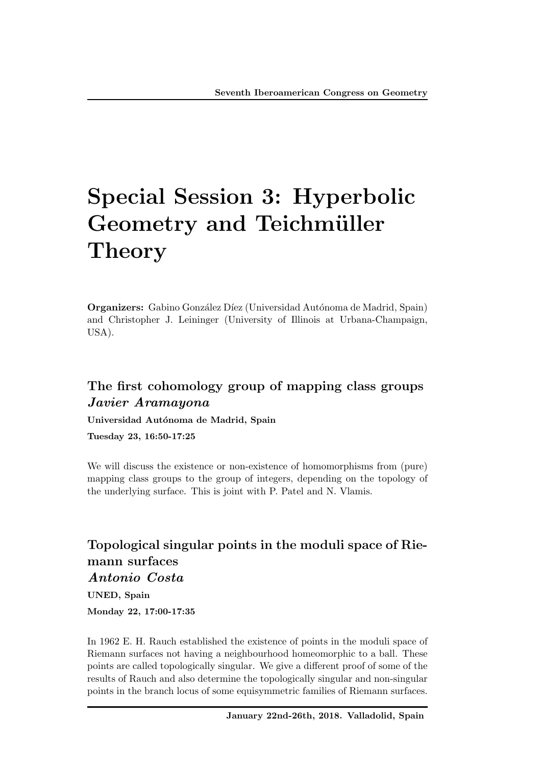# Special Session 3: Hyperbolic Geometry and Teichmüller **Theory**

Organizers: Gabino González Díez (Universidad Autónoma de Madrid, Spain) and Christopher J. Leininger (University of Illinois at Urbana-Champaign, USA).

#### The first cohomology group of mapping class groups *Javier Aramayona*

Universidad Autónoma de Madrid, Spain

Tuesday 23, 16:50-17:25

We will discuss the existence or non-existence of homomorphisms from (pure) mapping class groups to the group of integers, depending on the topology of the underlying surface. This is joint with P. Patel and N. Vlamis.

# Topological singular points in the moduli space of Riemann surfaces

*Antonio Costa*

UNED, Spain

Monday 22, 17:00-17:35

In 1962 E. H. Rauch established the existence of points in the moduli space of Riemann surfaces not having a neighbourhood homeomorphic to a ball. These points are called topologically singular. We give a different proof of some of the results of Rauch and also determine the topologically singular and non-singular points in the branch locus of some equisymmetric families of Riemann surfaces.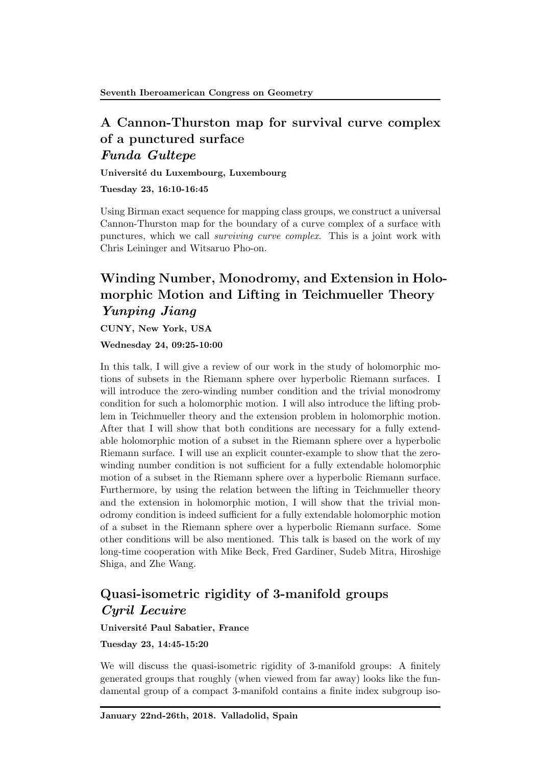#### A Cannon-Thurston map for survival curve complex of a punctured surface *Funda Gultepe*

Universit´e du Luxembourg, Luxembourg

Tuesday 23, 16:10-16:45

Using Birman exact sequence for mapping class groups, we construct a universal Cannon-Thurston map for the boundary of a curve complex of a surface with punctures, which we call *surviving curve complex*. This is a joint work with Chris Leininger and Witsaruo Pho-on.

# Winding Number, Monodromy, and Extension in Holomorphic Motion and Lifting in Teichmueller Theory *Yunping Jiang*

CUNY, New York, USA

Wednesday 24, 09:25-10:00

In this talk, I will give a review of our work in the study of holomorphic motions of subsets in the Riemann sphere over hyperbolic Riemann surfaces. I will introduce the zero-winding number condition and the trivial monodromy condition for such a holomorphic motion. I will also introduce the lifting problem in Teichmueller theory and the extension problem in holomorphic motion. After that I will show that both conditions are necessary for a fully extendable holomorphic motion of a subset in the Riemann sphere over a hyperbolic Riemann surface. I will use an explicit counter-example to show that the zerowinding number condition is not sufficient for a fully extendable holomorphic motion of a subset in the Riemann sphere over a hyperbolic Riemann surface. Furthermore, by using the relation between the lifting in Teichmueller theory and the extension in holomorphic motion, I will show that the trivial monodromy condition is indeed sufficient for a fully extendable holomorphic motion of a subset in the Riemann sphere over a hyperbolic Riemann surface. Some other conditions will be also mentioned. This talk is based on the work of my long-time cooperation with Mike Beck, Fred Gardiner, Sudeb Mitra, Hiroshige Shiga, and Zhe Wang.

## Quasi-isometric rigidity of 3-manifold groups *Cyril Lecuire*

Université Paul Sabatier, France

Tuesday 23, 14:45-15:20

We will discuss the quasi-isometric rigidity of 3-manifold groups: A finitely generated groups that roughly (when viewed from far away) looks like the fundamental group of a compact 3-manifold contains a finite index subgroup iso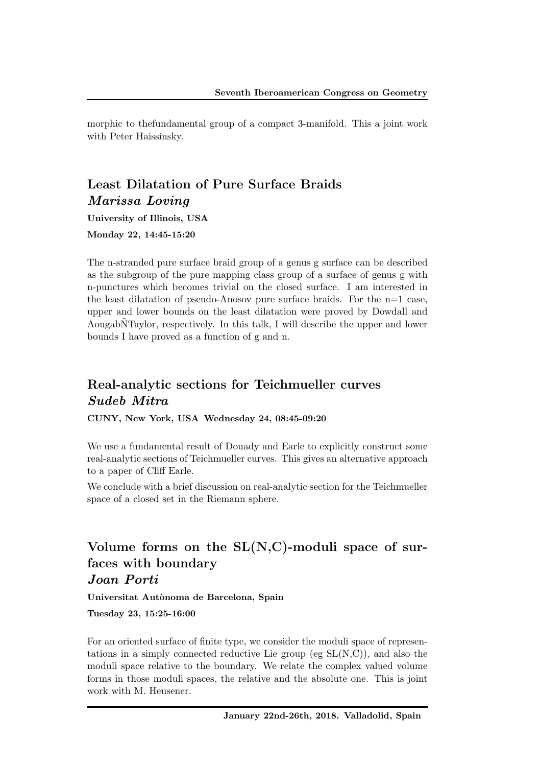morphic to thefundamental group of a compact 3-manifold. This a joint work with Peter Haissinsky.

#### Least Dilatation of Pure Surface Braids *Marissa Loving*

University of Illinois, USA

Monday 22, 14:45-15:20

The n-stranded pure surface braid group of a genus g surface can be described as the subgroup of the pure mapping class group of a surface of genus g with n-punctures which becomes trivial on the closed surface. I am interested in the least dilatation of pseudo-Anosov pure surface braids. For the  $n=1$  case, upper and lower bounds on the least dilatation were proved by Dowdall and AougabNTaylor, respectively. In this talk, I will describe the upper and lower bounds I have proved as a function of g and n.

#### Real-analytic sections for Teichmueller curves *Sudeb Mitra*

CUNY, New York, USA Wednesday 24, 08:45-09:20

We use a fundamental result of Douady and Earle to explicitly construct some real-analytic sections of Teichmueller curves. This gives an alternative approach to a paper of Cliff Earle.

We conclude with a brief discussion on real-analytic section for the Teichmueller space of a closed set in the Riemann sphere.

#### Volume forms on the  $SL(N, C)$ -moduli space of surfaces with boundary *Joan Porti*

Universitat Autònoma de Barcelona, Spain

Tuesday 23, 15:25-16:00

For an oriented surface of finite type, we consider the moduli space of representations in a simply connected reductive Lie group (eg SL(N,C)), and also the moduli space relative to the boundary. We relate the complex valued volume forms in those moduli spaces, the relative and the absolute one. This is joint work with M. Heusener.